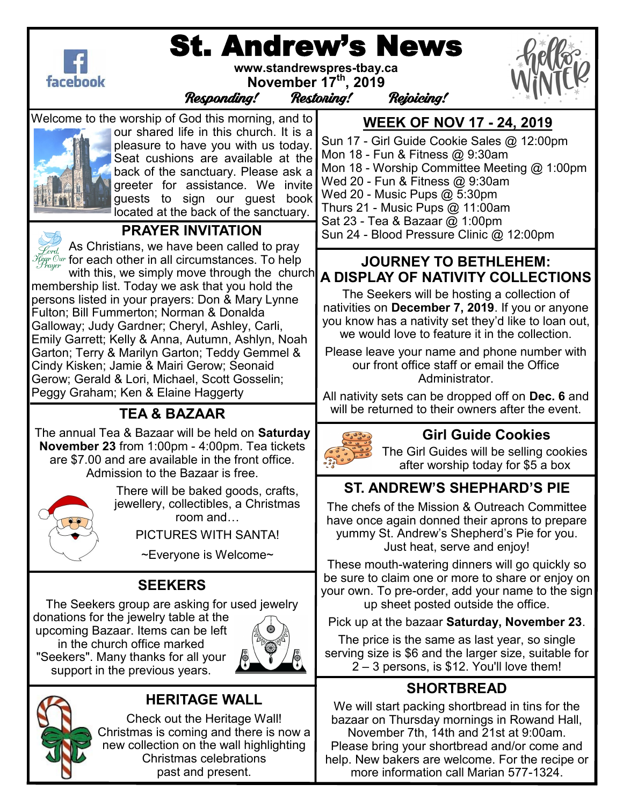

# St. Andrew's News

**www.standrewspres-tbay.ca November 17th, 2019**



Responding! Restoring! Rejoicing!

Welcome to the worship of God this morning, and to



our shared life in this church. It is a pleasure to have you with us today. Seat cushions are available at the back of the sanctuary. Please ask a greeter for assistance. We invite guests to sign our guest book located at the back of the sanctuary.



### **PRAYER INVITATION**

As Christians, we have been called to pray  $\widetilde{\mathcal{H}}_{\textit{gr}}^{\textit{der}}$   $\widetilde{\mathcal{H}}_{\textit{gr}}^{\textit{cur}}$  for each other in all circumstances. To help

with this, we simply move through the church membership list. Today we ask that you hold the persons listed in your prayers: Don & Mary Lynne Fulton; Bill Fummerton; Norman & Donalda Galloway; Judy Gardner; Cheryl, Ashley, Carli, Emily Garrett; Kelly & Anna, Autumn, Ashlyn, Noah Garton; Terry & Marilyn Garton; Teddy Gemmel & Cindy Kisken; Jamie & Mairi Gerow; Seonaid Gerow; Gerald & Lori, Michael, Scott Gosselin; Peggy Graham; Ken & Elaine Haggerty

### **TEA & BAZAAR**

The annual Tea & Bazaar will be held on **Saturday November 23** from 1:00pm - 4:00pm. Tea tickets are \$7.00 and are available in the front office. Admission to the Bazaar is free.



There will be baked goods, crafts, jewellery, collectibles, a Christmas room and…

PICTURES WITH SANTA!

~Everyone is Welcome~

### **SEEKERS**

The Seekers group are asking for used jewelry donations for the jewelry table at the

upcoming Bazaar. Items can be left in the church office marked "Seekers". Many thanks for all your support in the previous years.





### **HERITAGE WALL**

Check out the Heritage Wall! Christmas is coming and there is now a new collection on the wall highlighting Christmas celebrations past and present.

**WEEK OF NOV 17 - 24, 2019**

Sun 17 - Girl Guide Cookie Sales @ 12:00pm Mon 18 - Fun & Fitness @ 9:30am Mon 18 - Worship Committee Meeting @ 1:00pm Wed 20 - Fun & Fitness @ 9:30am Wed 20 - Music Pups @ 5:30pm Thurs 21 - Music Pups @ 11:00am Sat 23 - Tea & Bazaar @ 1:00pm Sun 24 - Blood Pressure Clinic @ 12:00pm

#### **JOURNEY TO BETHLEHEM: A DISPLAY OF NATIVITY COLLECTIONS**

The Seekers will be hosting a collection of nativities on **December 7, 2019**. If you or anyone you know has a nativity set they'd like to loan out, we would love to feature it in the collection.

Please leave your name and phone number with our front office staff or email the Office Administrator.

All nativity sets can be dropped off on **Dec. 6** and will be returned to their owners after the event.



### **Girl Guide Cookies**

The Girl Guides will be selling cookies after worship today for \$5 a box

# **ST. ANDREW'S SHEPHARD'S PIE**

The chefs of the Mission & Outreach Committee have once again donned their aprons to prepare yummy St. Andrew's Shepherd's Pie for you. Just heat, serve and enjoy!

These mouth-watering dinners will go quickly so be sure to claim one or more to share or enjoy on your own. To pre-order, add your name to the sign up sheet posted outside the office.

Pick up at the bazaar **Saturday, November 23**.

The price is the same as last year, so single serving size is \$6 and the larger size, suitable for 2 – 3 persons, is \$12. You'll love them!

# **SHORTBREAD**

We will start packing shortbread in tins for the bazaar on Thursday mornings in Rowand Hall, November 7th, 14th and 21st at 9:00am. Please bring your shortbread and/or come and help. New bakers are welcome. For the recipe or more information call Marian 577-1324.